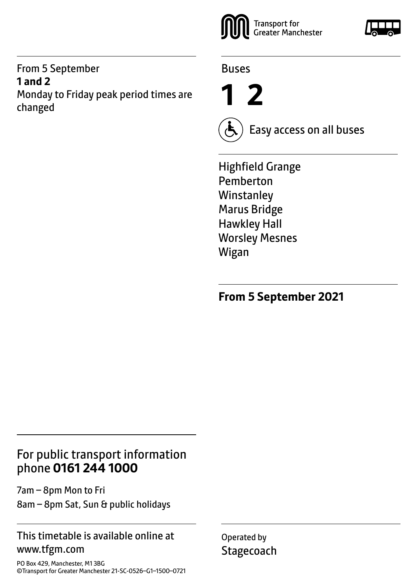#### From 5 September **1 and 2** Monday to Friday peak period times are changed



Buses

**1 2**



Easy access on all buses

Highfield Grange Pemberton **Winstanley** Marus Bridge Hawkley Hall Worsley Mesnes Wigan

**From 5 September 2021**

## For public transport information phone **0161 244 1000**

7am – 8pm Mon to Fri 8am – 8pm Sat, Sun & public holidays

#### This timetable is available online at www.tfgm.com

PO Box 429, Manchester, M1 3BG ©Transport for Greater Manchester 21-SC-0526–G1–1500–0721 Operated by **Stagecoach** 

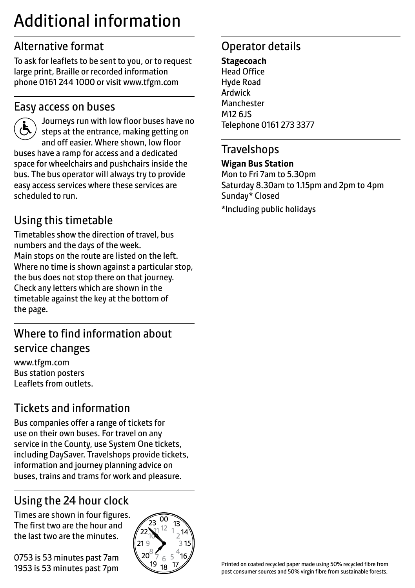# Additional information

## Alternative format

To ask for leaflets to be sent to you, or to request large print, Braille or recorded information phone 0161 244 1000 or visit www.tfgm.com

#### Easy access on buses



 Journeys run with low floor buses have no steps at the entrance, making getting on and off easier. Where shown, low floor buses have a ramp for access and a dedicated space for wheelchairs and pushchairs inside the bus. The bus operator will always try to provide easy access services where these services are scheduled to run.

## Using this timetable

Timetables show the direction of travel, bus numbers and the days of the week. Main stops on the route are listed on the left. Where no time is shown against a particular stop, the bus does not stop there on that journey. Check any letters which are shown in the timetable against the key at the bottom of the page.

## Where to find information about service changes

www.tfgm.com Bus station posters Leaflets from outlets.

## Tickets and information

Bus companies offer a range of tickets for use on their own buses. For travel on any service in the County, use System One tickets, including DaySaver. Travelshops provide tickets, information and journey planning advice on buses, trains and trams for work and pleasure.

## Using the 24 hour clock

Times are shown in four figures. The first two are the hour and the last two are the minutes.

0753 is 53 minutes past 7am 1953 is 53 minutes past 7pm



## Operator details

**Stagecoach** Head Office Hyde Road Ardwick **Manchester** M12 6JS Telephone 0161 273 3377

#### **Travelshops**

#### **Wigan Bus Station**

Mon to Fri 7am to 5.30pm Saturday 8.30am to 1.15pm and 2pm to 4pm Sunday\* Closed

\*Including public holidays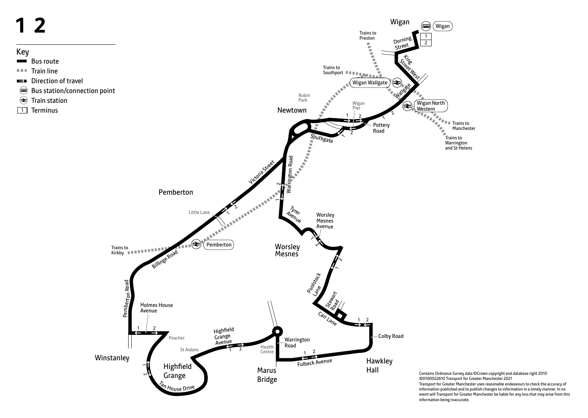

Contains Ordnance Survey data ©Crown copyright and database right 2010 ©0100022610 Transport for Greater Manchester 2021 Transport for Greater Manchester uses reasonable endeavours to check the accuracy of information published and to publish changes to information in a timely manner. In no event will Transport for Greater Manchester be liable for any loss that may arise from this information being inaccurate.

- 
- 
- 
- 
- 
-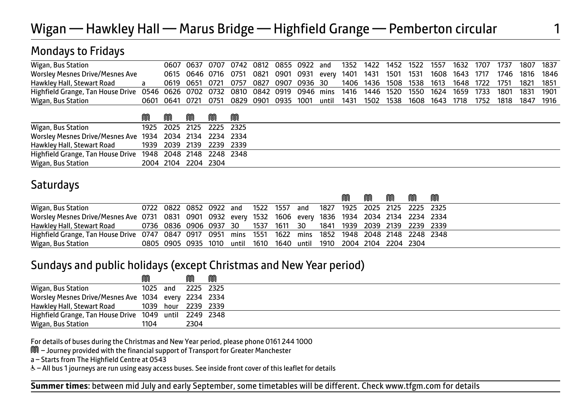## Wigan — Hawkley Hall — Marus Bridge — Highfield Grange — Pemberton circular 1

### Mondays to Fridays

| Wigan, Bus Station                                                                                                               |                |  |  |  |  |  |  |  |  | 0607 0637 0707 0742 0812 0855 0922 and 1352 1422 1452 1522 1557 1632 1707 1737 1807 1837        |  |
|----------------------------------------------------------------------------------------------------------------------------------|----------------|--|--|--|--|--|--|--|--|-------------------------------------------------------------------------------------------------|--|
| <b>Worsley Mesnes Drive/Mesnes Ave</b>                                                                                           |                |  |  |  |  |  |  |  |  | 0615 0646 0716 0751 0821 0901 0931 every 1401 1431 1501 1531 1608 1643 1717 1746 1816 1846      |  |
| Hawkley Hall, Stewart Road                                                                                                       | $\overline{a}$ |  |  |  |  |  |  |  |  | 0619 0651 0721 0757 0827 0907 0936 30 1406 1436 1508 1538 1613 1648 1722 1751 1821 1851         |  |
| Highfield Grange, Tan House Drive 0546 0626 0702 0732 0810 0842 0919 0946 mins 1416 1446 1520 1550 1624 1659 1733 1801 1831 1901 |                |  |  |  |  |  |  |  |  |                                                                                                 |  |
| Wigan, Bus Station                                                                                                               |                |  |  |  |  |  |  |  |  | 0601 0641 0721 0751 0829 0901 0935 1001 until 1431 1502 1538 1608 1643 1718 1752 1818 1847 1916 |  |
|                                                                                                                                  |                |  |  |  |  |  |  |  |  |                                                                                                 |  |

|                                                            | m | m                        | m | m | m |
|------------------------------------------------------------|---|--------------------------|---|---|---|
| Wigan, Bus Station                                         |   | 1925 2025 2125 2225 2325 |   |   |   |
| Worsley Mesnes Drive/Mesnes Ave 1934 2034 2134 2234 2334   |   |                          |   |   |   |
| Hawkley Hall, Stewart Road                                 |   | 1939 2039 2139 2239 2339 |   |   |   |
| Highfield Grange, Tan House Drive 1948 2048 2148 2248 2348 |   |                          |   |   |   |
| Wigan, Bus Station                                         |   | 2004 2104 2204 2304      |   |   |   |

### **Saturdays**

|                                                                                                         |                                                                     |  |  |  |  | M | $\mathbb{M}$ | MM 1999. | M | M |
|---------------------------------------------------------------------------------------------------------|---------------------------------------------------------------------|--|--|--|--|---|--------------|----------|---|---|
| Wigan, Bus Station                                                                                      | 0722 0822 0852 0922 and 1522 1557 and 1827 1925 2025 2125 2225 2325 |  |  |  |  |   |              |          |   |   |
| Worsley Mesnes Drive/Mesnes Ave 0731 0831 0901 0932 every 1532 1606 every 1836 1934 2034 2134 2234 2334 |                                                                     |  |  |  |  |   |              |          |   |   |
| Hawkley Hall, Stewart Road 60736 0836 0906 0937 30 1537 1611 30 1841 1939 2039 2139 2239 2339           |                                                                     |  |  |  |  |   |              |          |   |   |
| Highfield Grange, Tan House Drive 0747 0847 0917 0951 mins 1551 1622 mins 1852 1948 2048 2148 2248 2348 |                                                                     |  |  |  |  |   |              |          |   |   |
| Wigan, Bus Station                                                                                      | 0805 0905 0935 1010 until 1610 1640 until 1910 2004 2104 2204 2304  |  |  |  |  |   |              |          |   |   |

#### Sundays and public holidays (except Christmas and New Year period)

|                                                        | M        | M         | M |  |
|--------------------------------------------------------|----------|-----------|---|--|
| Wigan, Bus Station                                     | 1025 and | 2225 2325 |   |  |
| Worsley Mesnes Drive/Mesnes Ave 1034 every 2234 2334   |          |           |   |  |
| Hawkley Hall, Stewart Road 1039 hour 2239 2339         |          |           |   |  |
| Highfield Grange, Tan House Drive 1049 until 2249 2348 |          |           |   |  |
| Wigan, Bus Station                                     | 1104     | 2304      |   |  |

For details of buses during the Christmas and New Year period, please phone 0161 244 1000

M – Journey provided with the financial support of Transport for Greater Manchester

ֺ֘֒

a – Starts from The Highfield Centre at 0543

W– All bus 1 journeys are run using easy access buses. See inside front cover of this leaflet for details

 $\overline{a}$ **Summer times**: between mid July and early September, some timetables will be different. Check www.tfgm.com for details